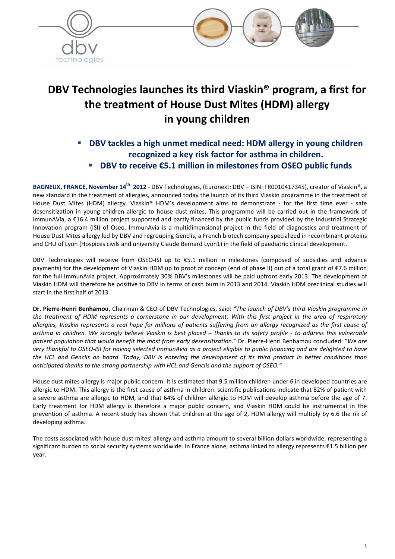

# **DBV Technologies launches its third Viaskin® program, a first for the treatment of House Dust Mites (HDM) allergy in young children**

- **DBV tackles a high unmet medical need: HDM allergy in young children recognized a key risk factor for asthma in children.** 
	- **DBV to receive €5.1 million in milestones from OSEO public funds**

**BAGNEUX, FRANCE, November 14th 2012** - DBV Technologies, (Euronext: DBV – ISIN: FR0010417345), creator of Viaskin®, a new standard in the treatment of allergies, announced today the launch of its third Viaskin programme in the treatment of House Dust Mites (HDM) allergy. Viaskin® HDM's development aims to demonstrate - for the first time ever - safe desensitization in young children allergic to house dust mites. This programme will be carried out in the framework of ImmunAVia, a €16.4 million project supported and partly financed by the public funds provided by the Industrial Strategic Innovation program (ISI) of Oseo. ImmunAvia is a multidimensional project in the field of diagnostics and treatment of House Dust Mites allergy led by DBV and regrouping Genclis, a French biotech company specialized in recombinant proteins and CHU of Lyon (Hospices civils and university Claude Bernard Lyon1) in the field of paediatric clinical development.

DBV Technologies will receive from OSEO-ISI up to €5.1 million in milestones (composed of subsidies and advance payments) for the development of Viaskin HDM up to proof of concept (end of phase II) out of a total grant of €7.6 million for the full ImmunAvia project. Approximately 30% DBV's milestones will be paid upfront early 2013. The development of Viaskin HDM will therefore be positive to DBV in terms of cash burn in 2013 and 2014. Viaskin HDM preclinical studies will start in the first half of 2013.

**Dr. Pierre-Henri Benhamou**, Chairman & CEO of DBV Technologies, said: *"The launch of DBV's third Viaskin programme in the treatment of HDM represents a cornerstone in our development. With this first project in the area of respiratory allergies, Viaskin represents a real hope for millions of patients suffering from an allergy recognized as the first cause of asthma in children. We strongly believe Viaskin is best placed – thanks to its safety profile - to address this vulnerable patient population that would benefit the most from early desensitization."* Dr. Pierre-Henri Benhamou concluded: "*We are very thankful to OSEO-ISI for having selected ImmunAvia as a project eligible to public financing and are delighted to have the HCL and Genclis on board. Today, DBV is entering the development of its third product in better conditions than anticipated thanks to the strong partnership with HCL and Genclis and the support of OSEO."* 

House dust mites allergy is major public concern. It is estimated that 9.5 million children under 6 in developed countries are allergic to HDM. This allergy is the first cause of asthma in children: scientific publications indicate that 82% of patient with a severe asthma are allergic to HDM, and that 64% of children allergic to HDM will develop asthma before the age of 7. Early treatment for HDM allergy is therefore a major public concern, and Viaskin HDM could be instrumental in the prevention of asthma. A recent study has shown that children at the age of 2, HDM allergy will multiply by 6.6 the rik of developing asthma.

The costs associated with house dust mites' allergy and asthma amount to several billion dollars worldwide, representing a significant burden to social security systems worldwide. In France alone, asthma linked to allergy represents €1.5 billion per year.